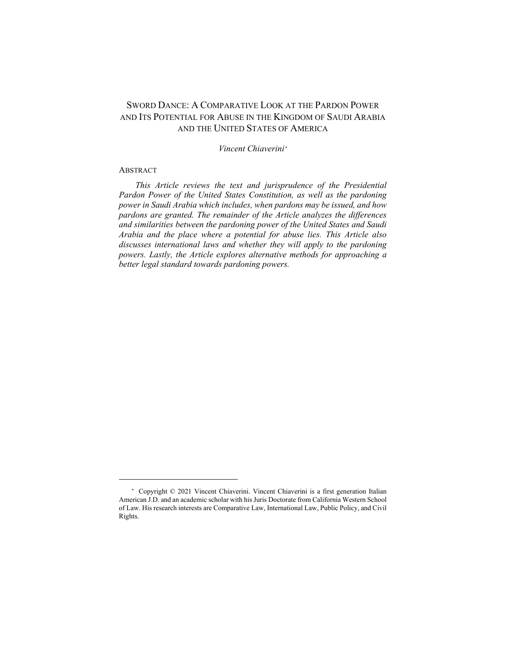# SWORD DANCE: A COMPARATIVE LOOK AT THE PARDON POWER AND ITS POTENTIAL FOR ABUSE IN THE KINGDOM OF SAUDI ARABIA AND THE UNITED STATES OF AMERICA

# *Vincent Chiaverini[\\*](#page-0-0)*

### **ABSTRACT**

 $\overline{a}$ 

*This Article reviews the text and jurisprudence of the Presidential Pardon Power of the United States Constitution, as well as the pardoning power in Saudi Arabia which includes, when pardons may be issued, and how pardons are granted. The remainder of the Article analyzes the differences and similarities between the pardoning power of the United States and Saudi Arabia and the place where a potential for abuse lies. This Article also discusses international laws and whether they will apply to the pardoning powers. Lastly, the Article explores alternative methods for approaching a better legal standard towards pardoning powers.*

<span id="page-0-0"></span> <sup>\*</sup> Copyright © 2021 Vincent Chiaverini. Vincent Chiaverini is a first generation Italian American J.D. and an academic scholar with his Juris Doctorate from California Western School of Law. His research interests are Comparative Law, International Law, Public Policy, and Civil Rights.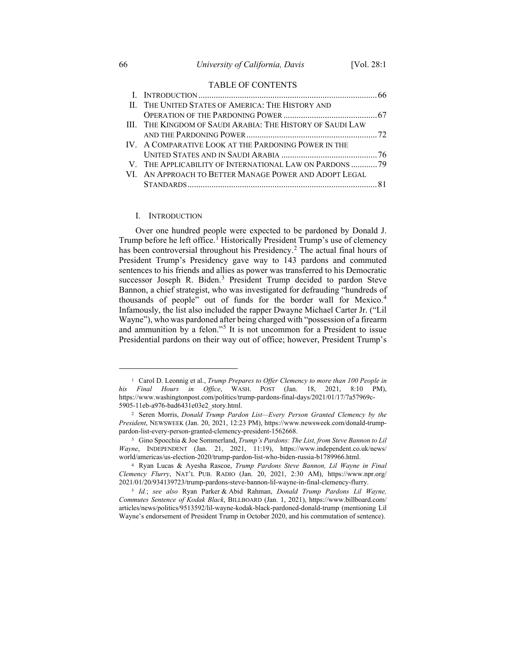### TABLE OF CONTENTS

| II. THE UNITED STATES OF AMERICA: THE HISTORY AND          |  |
|------------------------------------------------------------|--|
|                                                            |  |
| III. THE KINGDOM OF SAUDI ARABIA: THE HISTORY OF SAUDI LAW |  |
|                                                            |  |
| IV. A COMPARATIVE LOOK AT THE PARDONING POWER IN THE       |  |
|                                                            |  |
| V. THE APPLICABILITY OF INTERNATIONAL LAW ON PARDONS 79    |  |
| VI. AN APPROACH TO BETTER MANAGE POWER AND ADOPT LEGAL     |  |
|                                                            |  |
|                                                            |  |

### I. INTRODUCTION

Over one hundred people were expected to be pardoned by Donald J. Trump before he left office.<sup>[1](#page-1-0)</sup> Historically President Trump's use of clemency has been controversial throughout his Presidency.<sup>[2](#page-1-1)</sup> The actual final hours of President Trump's Presidency gave way to 143 pardons and commuted sentences to his friends and allies as power was transferred to his Democratic successor Joseph R. Biden.<sup>[3](#page-1-2)</sup> President Trump decided to pardon Steve Bannon, a chief strategist, who was investigated for defrauding "hundreds of thousands of people" out of funds for the border wall for Mexico.[4](#page-1-3) Infamously, the list also included the rapper Dwayne Michael Carter Jr. ("Lil Wayne"), who was pardoned after being charged with "possession of a firearm and ammunition by a felon."[5](#page-1-4) It is not uncommon for a President to issue Presidential pardons on their way out of office; however, President Trump's

<span id="page-1-0"></span><sup>1</sup> Carol D. Leonnig et al., *Trump Prepares to Offer Clemency to more than 100 People in his Final Hours in Office*, WASH. POST (Jan. 18, 2021, 8:10 PM), https://www.washingtonpost.com/politics/trump-pardons-final-days/2021/01/17/7a57969c-5905-11eb-a976-bad6431e03e2\_story.html.

<span id="page-1-1"></span><sup>2</sup> Seren Morris, *Donald Trump Pardon List—Every Person Granted Clemency by the President*, NEWSWEEK (Jan. 20, 2021, 12:23 PM), https://www.newsweek.com/donald-trumppardon-list-every-person-granted-clemency-president-1562668.

<span id="page-1-2"></span><sup>3</sup> Gino Spocchia & Joe Sommerland, *Trump's Pardons: The List, from Steve Bannon to Lil Wayne*, INDEPENDENT (Jan. 21, 2021, 11:19), https://www.independent.co.uk/news/ world/americas/us-election-2020/trump-pardon-list-who-biden-russia-b1789966.html.

<span id="page-1-3"></span><sup>4</sup> Ryan Lucas & Ayesha Rascoe, *Trump Pardons Steve Bannon, Lil Wayne in Final Clemency Flurry*, NAT'L PUB. RADIO (Jan. 20, 2021, 2:30 AM), https://www.npr.org/ 2021/01/20/934139723/trump-pardons-steve-bannon-lil-wayne-in-final-clemency-flurry.

<span id="page-1-4"></span><sup>5</sup> *Id.*; *see also* Ryan Parker & Abid Rahman, *Donald Trump Pardons Lil Wayne, Commutes Sentence of Kodak Black*, BILLBOARD (Jan. 1, 2021), https://www.billboard.com/ articles/news/politics/9513592/lil-wayne-kodak-black-pardoned-donald-trump (mentioning Lil Wayne's endorsement of President Trump in October 2020, and his commutation of sentence).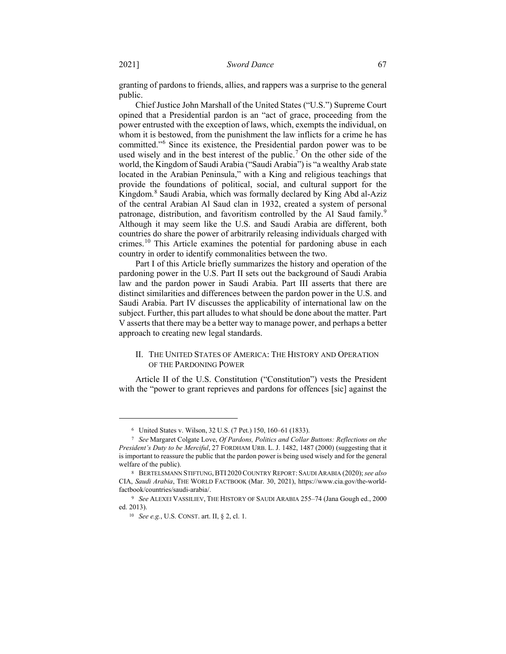granting of pardons to friends, allies, and rappers was a surprise to the general public.

Chief Justice John Marshall of the United States ("U.S.") Supreme Court opined that a Presidential pardon is an "act of grace, proceeding from the power entrusted with the exception of laws, which, exempts the individual, on whom it is bestowed, from the punishment the law inflicts for a crime he has committed."[6](#page-2-0) Since its existence, the Presidential pardon power was to be used wisely and in the best interest of the public.[7](#page-2-1) On the other side of the world, the Kingdom of Saudi Arabia ("Saudi Arabia") is "a wealthy Arab state located in the Arabian Peninsula," with a King and religious teachings that provide the foundations of political, social, and cultural support for the Kingdom.<sup>[8](#page-2-2)</sup> Saudi Arabia, which was formally declared by King Abd al-Aziz of the central Arabian Al Saud clan in 1932, created a system of personal patronage, distribution, and favoritism controlled by the Al Saud family.<sup>[9](#page-2-3)</sup> Although it may seem like the U.S. and Saudi Arabia are different, both countries do share the power of arbitrarily releasing individuals charged with crimes.[10](#page-2-4) This Article examines the potential for pardoning abuse in each country in order to identify commonalities between the two.

Part I of this Article briefly summarizes the history and operation of the pardoning power in the U.S. Part II sets out the background of Saudi Arabia law and the pardon power in Saudi Arabia. Part III asserts that there are distinct similarities and differences between the pardon power in the U.S. and Saudi Arabia. Part IV discusses the applicability of international law on the subject. Further, this part alludes to what should be done about the matter. Part V asserts that there may be a better way to manage power, and perhaps a better approach to creating new legal standards.

# II. THE UNITED STATES OF AMERICA: THE HISTORY AND OPERATION OF THE PARDONING POWER

Article II of the U.S. Constitution ("Constitution") vests the President with the "power to grant reprieves and pardons for offences [sic] against the

<sup>6</sup> United States v. Wilson, 32 U.S. (7 Pet.) 150, 160–61 (1833).

<span id="page-2-1"></span><span id="page-2-0"></span><sup>7</sup> *See* Margaret Colgate Love, *Of Pardons, Politics and Collar Buttons: Reflections on the President's Duty to be Merciful*, 27 FORDHAM URB. L. J. 1482, 1487 (2000) (suggesting that it is important to reassure the public that the pardon power is being used wisely and for the general welfare of the public).

<span id="page-2-2"></span><sup>8</sup> BERTELSMANN STIFTUNG,BTI 2020COUNTRY REPORT: SAUDI ARABIA (2020); *see also* CIA, *Saudi Arabia*, THE WORLD FACTBOOK (Mar. 30, 2021), https://www.cia.gov/the-worldfactbook/countries/saudi-arabia/.

<span id="page-2-4"></span><span id="page-2-3"></span><sup>9</sup> *See* ALEXEI VASSILIEV, THE HISTORY OF SAUDI ARABIA 255–74 (Jana Gough ed., 2000 ed. 2013).

<sup>10</sup> *See e.g.*, U.S. CONST. art. II, § 2, cl. 1.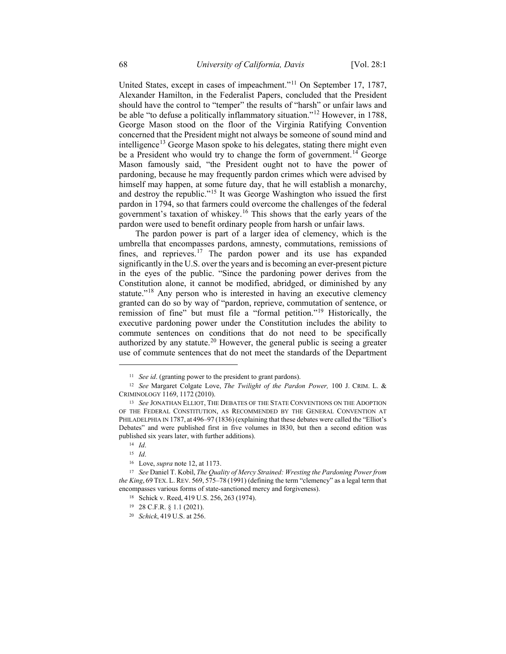United States, except in cases of impeachment."[11](#page-3-0) On September 17, 1787, Alexander Hamilton, in the Federalist Papers, concluded that the President should have the control to "temper" the results of "harsh" or unfair laws and be able "to defuse a politically inflammatory situation."[12](#page-3-1) However, in 1788, George Mason stood on the floor of the Virginia Ratifying Convention concerned that the President might not always be someone of sound mind and intelligence<sup>[13](#page-3-2)</sup> George Mason spoke to his delegates, stating there might even be a President who would try to change the form of government.<sup>[14](#page-3-3)</sup> George Mason famously said, "the President ought not to have the power of pardoning, because he may frequently pardon crimes which were advised by himself may happen, at some future day, that he will establish a monarchy, and destroy the republic."[15](#page-3-4) It was George Washington who issued the first pardon in 1794, so that farmers could overcome the challenges of the federal government's taxation of whiskey.[16](#page-3-5) This shows that the early years of the pardon were used to benefit ordinary people from harsh or unfair laws.

The pardon power is part of a larger idea of clemency, which is the umbrella that encompasses pardons, amnesty, commutations, remissions of fines, and reprieves.<sup>[17](#page-3-6)</sup> The pardon power and its use has expanded significantly in the U.S. over the years and is becoming an ever-present picture in the eyes of the public. "Since the pardoning power derives from the Constitution alone, it cannot be modified, abridged, or diminished by any statute."<sup>[18](#page-3-7)</sup> Any person who is interested in having an executive clemency granted can do so by way of "pardon, reprieve, commutation of sentence, or remission of fine" but must file a "formal petition."[19](#page-3-8) Historically, the executive pardoning power under the Constitution includes the ability to commute sentences on conditions that do not need to be specifically authorized by any statute.<sup>[20](#page-3-9)</sup> However, the general public is seeing a greater use of commute sentences that do not meet the standards of the Department

<sup>11</sup> *See id*. (granting power to the president to grant pardons).

<span id="page-3-1"></span><span id="page-3-0"></span><sup>12</sup> *See* Margaret Colgate Love, *The Twilight of the Pardon Power,* 100 J. CRIM. L. & CRIMINOLOGY 1169, 1172 (2010).

<span id="page-3-3"></span><span id="page-3-2"></span><sup>13</sup> *See* JONATHAN ELLIOT, THE DEBATES OF THE STATE CONVENTIONS ON THE ADOPTION OF THE FEDERAL CONSTITUTION, AS RECOMMENDED BY THE GENERAL CONVENTION AT PHILADELPHIA IN 1787, at 496–97 (1836) (explaining that these debates were called the "Elliot's Debates" and were published first in five volumes in l830, but then a second edition was published six years later, with further additions).

<sup>14</sup> *Id*. <sup>15</sup> *Id*.

<sup>16</sup> Love, *supra* note 12, at 1173.

<span id="page-3-9"></span><span id="page-3-8"></span><span id="page-3-7"></span><span id="page-3-6"></span><span id="page-3-5"></span><span id="page-3-4"></span><sup>17</sup> *See* Daniel T. Kobil, *The Quality of Mercy Strained: Wresting the Pardoning Power from the King*, 69 TEX. L. REV. 569, 575–78 (1991) (defining the term "clemency" as a legal term that encompasses various forms of state-sanctioned mercy and forgiveness).

<sup>18</sup> Schick v. Reed, 419 U.S. 256, 263 (1974).

<sup>19</sup> 28 C.F.R. § 1.1 (2021).

<sup>20</sup> *Schick*, 419 U.S. at 256.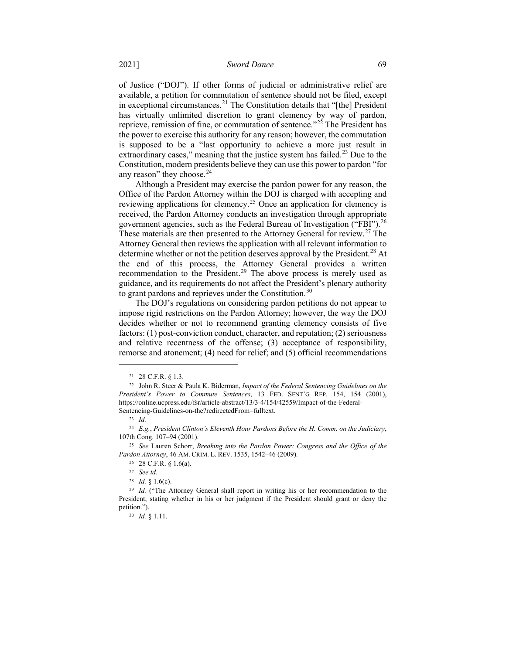of Justice ("DOJ"). If other forms of judicial or administrative relief are available, a petition for commutation of sentence should not be filed, except in exceptional circumstances.<sup>[21](#page-4-0)</sup> The Constitution details that "[the] President has virtually unlimited discretion to grant clemency by way of pardon, reprieve, remission of fine, or commutation of sentence."[22](#page-4-1) The President has the power to exercise this authority for any reason; however, the commutation is supposed to be a "last opportunity to achieve a more just result in extraordinary cases," meaning that the justice system has failed.<sup>[23](#page-4-2)</sup> Due to the Constitution, modern presidents believe they can use this power to pardon "for any reason" they choose.<sup>[24](#page-4-3)</sup>

Although a President may exercise the pardon power for any reason, the Office of the Pardon Attorney within the DOJ is charged with accepting and reviewing applications for clemency.[25](#page-4-4) Once an application for clemency is received, the Pardon Attorney conducts an investigation through appropriate government agencies, such as the Federal Bureau of Investigation ("FBI").[26](#page-4-5) These materials are then presented to the Attorney General for review.<sup>[27](#page-4-6)</sup> The Attorney General then reviews the application with all relevant information to determine whether or not the petition deserves approval by the President.<sup>[28](#page-4-7)</sup> At the end of this process, the Attorney General provides a written recommendation to the President.<sup>[29](#page-4-8)</sup> The above process is merely used as guidance, and its requirements do not affect the President's plenary authority to grant pardons and reprieves under the Constitution. $30$ 

The DOJ's regulations on considering pardon petitions do not appear to impose rigid restrictions on the Pardon Attorney; however, the way the DOJ decides whether or not to recommend granting clemency consists of five factors: (1) post-conviction conduct, character, and reputation; (2) seriousness and relative recentness of the offense; (3) acceptance of responsibility, remorse and atonement; (4) need for relief; and (5) official recommendations

<span id="page-4-0"></span> $\overline{a}$ 

<sup>30</sup> *Id.* § 1.11.

<sup>21</sup> 28 C.F.R. § 1.3.

<span id="page-4-1"></span><sup>22</sup> John R. Steer & Paula K. Biderman, *Impact of the Federal Sentencing Guidelines on the President's Power to Commute Sentences*, 13 FED. SENT'G REP. 154, 154 (2001), https://online.ucpress.edu/fsr/article-abstract/13/3-4/154/42559/Impact-of-the-Federal-Sentencing-Guidelines-on-the?redirectedFrom=fulltext.

<sup>23</sup> *Id.*

<span id="page-4-3"></span><span id="page-4-2"></span><sup>24</sup> *E.g.*, *President Clinton's Eleventh Hour Pardons Before the H. Comm. on the Judiciary*, 107th Cong. 107–94 (2001).

<span id="page-4-6"></span><span id="page-4-5"></span><span id="page-4-4"></span><sup>25</sup> *See* Lauren Schorr, *Breaking into the Pardon Power: Congress and the Office of the Pardon Attorney*, 46 AM. CRIM. L. REV. 1535, 1542–46 (2009).

<sup>26</sup> 28 C.F.R. § 1.6(a).

<sup>27</sup> *See id.*

 $28$  *Id.* § 1.6(c).

<span id="page-4-9"></span><span id="page-4-8"></span><span id="page-4-7"></span><sup>29</sup> *Id.* ("The Attorney General shall report in writing his or her recommendation to the President, stating whether in his or her judgment if the President should grant or deny the petition.").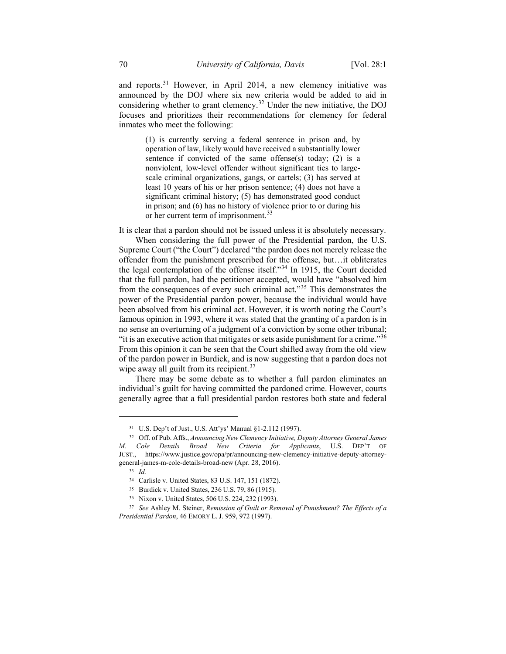and reports.[31](#page-5-0) However, in April 2014, a new clemency initiative was announced by the DOJ where six new criteria would be added to aid in considering whether to grant clemency.[32](#page-5-1) Under the new initiative, the DOJ focuses and prioritizes their recommendations for clemency for federal inmates who meet the following:

> (1) is currently serving a federal sentence in prison and, by operation of law, likely would have received a substantially lower sentence if convicted of the same offense(s) today; (2) is a nonviolent, low-level offender without significant ties to largescale criminal organizations, gangs, or cartels; (3) has served at least 10 years of his or her prison sentence; (4) does not have a significant criminal history; (5) has demonstrated good conduct in prison; and (6) has no history of violence prior to or during his or her current term of imprisonment.<sup>[33](#page-5-2)</sup>

It is clear that a pardon should not be issued unless it is absolutely necessary.

When considering the full power of the Presidential pardon, the U.S. Supreme Court ("the Court") declared "the pardon does not merely release the offender from the punishment prescribed for the offense, but…it obliterates the legal contemplation of the offense itself."[34](#page-5-3) In 1915, the Court decided that the full pardon, had the petitioner accepted, would have "absolved him from the consequences of every such criminal act."[35](#page-5-4) This demonstrates the power of the Presidential pardon power, because the individual would have been absolved from his criminal act. However, it is worth noting the Court's famous opinion in 1993, where it was stated that the granting of a pardon is in no sense an overturning of a judgment of a conviction by some other tribunal; "it is an executive action that mitigates or sets aside punishment for a crime."[36](#page-5-5) From this opinion it can be seen that the Court shifted away from the old view of the pardon power in Burdick, and is now suggesting that a pardon does not wipe away all guilt from its recipient.<sup>[37](#page-5-6)</sup>

There may be some debate as to whether a full pardon eliminates an individual's guilt for having committed the pardoned crime. However, courts generally agree that a full presidential pardon restores both state and federal

<sup>31</sup> U.S. Dep't of Just., U.S. Att'ys' Manual §1-2.112 (1997).

<span id="page-5-3"></span><span id="page-5-2"></span><span id="page-5-1"></span><span id="page-5-0"></span><sup>32</sup> Off. of Pub. Affs., *Announcing New Clemency Initiative, Deputy Attorney General James M. Cole Details Broad New Criteria for Applicants*, U.S. DEP'T OF JUST., https://www.justice.gov/opa/pr/announcing-new-clemency-initiative-deputy-attorneygeneral-james-m-cole-details-broad-new (Apr. 28, 2016).

<sup>33</sup> *Id.*

<sup>34</sup> Carlisle v. United States, 83 U.S. 147, 151 (1872).

<sup>35</sup> Burdick v. United States, 236 U.S. 79, 86 (1915).

<sup>36</sup> Nixon v. United States, 506 U.S. 224, 232 (1993).

<span id="page-5-6"></span><span id="page-5-5"></span><span id="page-5-4"></span><sup>37</sup> *See* Ashley M. Steiner, *Remission of Guilt or Removal of Punishment? The Effects of a Presidential Pardon*, 46 EMORY L. J. 959, 972 (1997).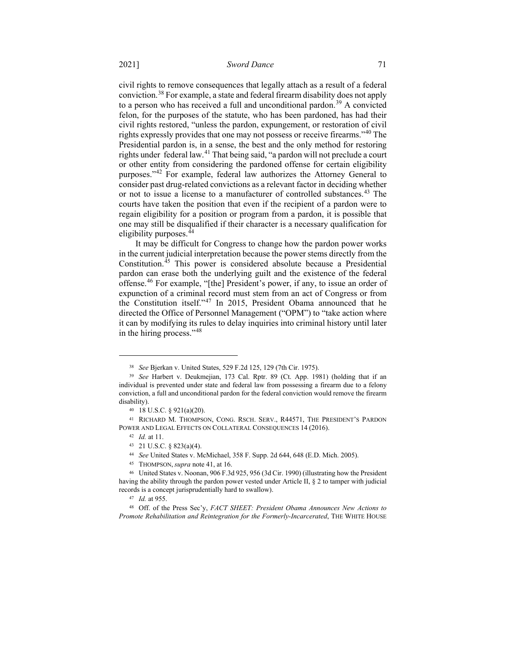civil rights to remove consequences that legally attach as a result of a federal conviction.[38](#page-6-0) For example, a state and federal firearm disability does not apply to a person who has received a full and unconditional pardon.<sup>[39](#page-6-1)</sup> A convicted felon, for the purposes of the statute, who has been pardoned, has had their civil rights restored, "unless the pardon, expungement, or restoration of civil rights expressly provides that one may not possess or receive firearms."[40](#page-6-2) The Presidential pardon is, in a sense, the best and the only method for restoring rights under federal law.[41](#page-6-3) That being said, "a pardon will not preclude a court or other entity from considering the pardoned offense for certain eligibility purposes."[42](#page-6-4) For example, federal law authorizes the Attorney General to consider past drug-related convictions as a relevant factor in deciding whether or not to issue a license to a manufacturer of controlled substances.<sup>[43](#page-6-5)</sup> The courts have taken the position that even if the recipient of a pardon were to regain eligibility for a position or program from a pardon, it is possible that one may still be disqualified if their character is a necessary qualification for eligibility purposes.[44](#page-6-6)

It may be difficult for Congress to change how the pardon power works in the current judicial interpretation because the power stems directly from the Constitution.[45](#page-6-7) This power is considered absolute because a Presidential pardon can erase both the underlying guilt and the existence of the federal offense.[46](#page-6-8) For example, "[the] President's power, if any, to issue an order of expunction of a criminal record must stem from an act of Congress or from the Constitution itself."[47](#page-6-9) In 2015, President Obama announced that he directed the Office of Personnel Management ("OPM") to "take action where it can by modifying its rules to delay inquiries into criminal history until later in the hiring process."[48](#page-7-0)

<sup>38</sup> *See* Bjerkan v. United States, 529 F.2d 125, 129 (7th Cir. 1975).

<span id="page-6-1"></span><span id="page-6-0"></span><sup>39</sup> *See* Harbert v. Deukmejian, 173 Cal. Rptr. 89 (Ct. App. 1981) (holding that if an individual is prevented under state and federal law from possessing a firearm due to a felony conviction, a full and unconditional pardon for the federal conviction would remove the firearm disability).

<sup>40</sup> 18 U.S.C. § 921(a)(20).

<span id="page-6-4"></span><span id="page-6-3"></span><span id="page-6-2"></span><sup>41</sup> RICHARD M. THOMPSON, CONG. RSCH. SERV., R44571, THE PRESIDENT'S PARDON POWER AND LEGAL EFFECTS ON COLLATERAL CONSEQUENCES 14 (2016).

<sup>42</sup> *Id.* at 11.

<sup>43 21</sup> U.S.C. § 823(a)(4).

<sup>44</sup> *See* United States v. McMichael, 358 F. Supp. 2d 644, 648 (E.D. Mich. 2005).

<sup>45</sup> THOMPSON, *supra* note 41, at 16.

<span id="page-6-8"></span><span id="page-6-7"></span><span id="page-6-6"></span><span id="page-6-5"></span><sup>46</sup> United States v. Noonan, 906 F.3d 925, 956 (3d Cir. 1990) (illustrating how the President having the ability through the pardon power vested under Article II, § 2 to tamper with judicial records is a concept jurisprudentially hard to swallow).

<sup>47</sup> *Id.* at 955.

<span id="page-6-9"></span><sup>48</sup> Off. of the Press Sec'y, *FACT SHEET: President Obama Announces New Actions to Promote Rehabilitation and Reintegration for the Formerly-Incarcerated*, THE WHITE HOUSE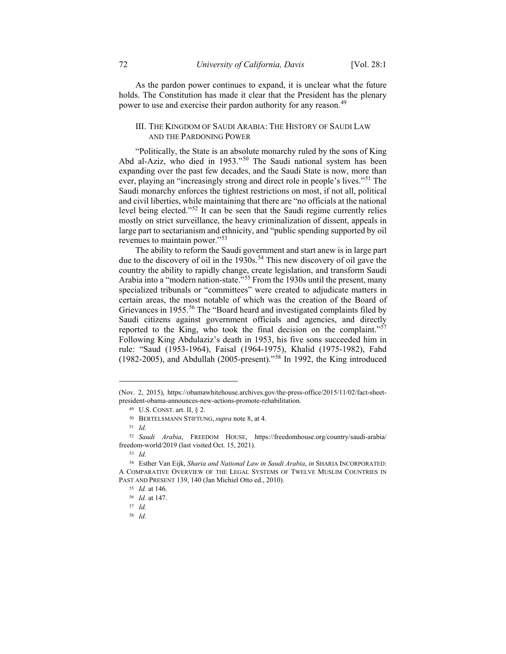As the pardon power continues to expand, it is unclear what the future holds. The Constitution has made it clear that the President has the plenary power to use and exercise their pardon authority for any reason.<sup>[49](#page-7-1)</sup>

# III. THE KINGDOM OF SAUDI ARABIA: THE HISTORY OF SAUDI LAW AND THE PARDONING POWER

"Politically, the State is an absolute monarchy ruled by the sons of King Abd al-Aziz, who died in 1953."<sup>[50](#page-7-2)</sup> The Saudi national system has been expanding over the past few decades, and the Saudi State is now, more than ever, playing an "increasingly strong and direct role in people's lives."<sup>[51](#page-7-3)</sup> The Saudi monarchy enforces the tightest restrictions on most, if not all, political and civil liberties, while maintaining that there are "no officials at the national level being elected."[52](#page-7-4) It can be seen that the Saudi regime currently relies mostly on strict surveillance, the heavy criminalization of dissent, appeals in large part to sectarianism and ethnicity, and "public spending supported by oil revenues to maintain power."[53](#page-7-5)

The ability to reform the Saudi government and start anew is in large part due to the discovery of oil in the 1930s.<sup>[54](#page-7-6)</sup> This new discovery of oil gave the country the ability to rapidly change, create legislation, and transform Saudi Arabia into a "modern nation-state."<sup>[55](#page-7-7)</sup> From the 1930s until the present, many specialized tribunals or "committees" were created to adjudicate matters in certain areas, the most notable of which was the creation of the Board of Grievances in 1955.<sup>[56](#page-7-8)</sup> The "Board heard and investigated complaints filed by Saudi citizens against government officials and agencies, and directly reported to the King, who took the final decision on the complaint."<sup>[57](#page-7-9)</sup> Following King Abdulaziz's death in 1953, his five sons succeeded him in rule: "Saud (1953-1964), Faisal (1964-1975), Khalid (1975-1982), Fahd (1982-2005), and Abdullah (2005-present)."<sup>[58](#page-8-0)</sup> In 1992, the King introduced

<span id="page-7-1"></span><span id="page-7-0"></span><sup>(</sup>Nov. 2, 2015), https://obamawhitehouse.archives.gov/the-press-office/2015/11/02/fact-sheetpresident-obama-announces-new-actions-promote-rehabilitation.

<sup>49</sup> U.S. CONST. art. II, § 2.

<sup>50</sup> BERTELSMANN STIFTUNG, *supra* note 8, at 4.

<sup>51</sup> *Id.*

<span id="page-7-4"></span><span id="page-7-3"></span><span id="page-7-2"></span><sup>52</sup> *Saudi Arabia*, FREEDOM HOUSE, https://freedomhouse.org/country/saudi-arabia/ freedom-world/2019 (last visited Oct. 15, 2021).

<sup>53</sup> *Id.*

<span id="page-7-9"></span><span id="page-7-8"></span><span id="page-7-7"></span><span id="page-7-6"></span><span id="page-7-5"></span><sup>54</sup> Esther Van Eijk, *Sharia and National Law in Saudi Arabia*, *in* SHARIA INCORPORATED: A COMPARATIVE OVERVIEW OF THE LEGAL SYSTEMS OF TWELVE MUSLIM COUNTRIES IN PAST AND PRESENT 139, 140 (Jan Michiel Otto ed., 2010).

<sup>55</sup> *Id.* at 146. <sup>56</sup> *Id.* at 147.

<sup>57</sup> *Id.*

<sup>58</sup> *Id.*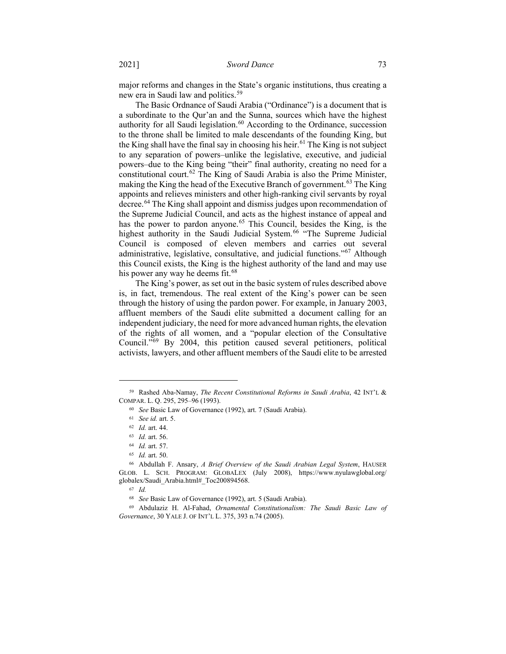major reforms and changes in the State's organic institutions, thus creating a new era in Saudi law and politics.[59](#page-8-1)

The Basic Ordnance of Saudi Arabia ("Ordinance") is a document that is a subordinate to the Qur'an and the Sunna, sources which have the highest authority for all Saudi legislation. $60$  According to the Ordinance, succession to the throne shall be limited to male descendants of the founding King, but the King shall have the final say in choosing his heir.<sup>[61](#page-8-3)</sup> The King is not subject to any separation of powers–unlike the legislative, executive, and judicial powers–due to the King being "their" final authority, creating no need for a constitutional court.<sup>[62](#page-8-4)</sup> The King of Saudi Arabia is also the Prime Minister, making the King the head of the Executive Branch of government.<sup>[63](#page-8-5)</sup> The King appoints and relieves ministers and other high-ranking civil servants by royal decree.<sup>[64](#page-8-6)</sup> The King shall appoint and dismiss judges upon recommendation of the Supreme Judicial Council, and acts as the highest instance of appeal and has the power to pardon anyone.<sup>[65](#page-8-7)</sup> This Council, besides the King, is the highest authority in the Saudi Judicial System.<sup>[66](#page-8-8)</sup> "The Supreme Judicial Council is composed of eleven members and carries out several administrative, legislative, consultative, and judicial functions."[67](#page-8-9) Although this Council exists, the King is the highest authority of the land and may use his power any way he deems fit.<sup>[68](#page-8-10)</sup>

The King's power, as set out in the basic system of rules described above is, in fact, tremendous. The real extent of the King's power can be seen through the history of using the pardon power. For example, in January 2003, affluent members of the Saudi elite submitted a document calling for an independent judiciary, the need for more advanced human rights, the elevation of the rights of all women, and a "popular election of the Consultative Council."[69](#page-9-0) By 2004, this petition caused several petitioners, political activists, lawyers, and other affluent members of the Saudi elite to be arrested

<span id="page-8-3"></span><span id="page-8-2"></span><span id="page-8-1"></span><span id="page-8-0"></span><sup>59</sup> Rashed Aba-Namay, *The Recent Constitutional Reforms in Saudi Arabia*, 42 INT'L & COMPAR. L. Q. 295, 295–96 (1993).

<sup>60</sup> *See* Basic Law of Governance (1992), art. 7 (Saudi Arabia).

<sup>61</sup> *See id.* art. 5.

<sup>62</sup> *Id.* art. 44.

<sup>63</sup> *Id.* art. 56.

<sup>64</sup> *Id.* art. 57.

<sup>65</sup> *Id.* art. 50.

<span id="page-8-8"></span><span id="page-8-7"></span><span id="page-8-6"></span><span id="page-8-5"></span><span id="page-8-4"></span><sup>66</sup> Abdullah F. Ansary, *A Brief Overview of the Saudi Arabian Legal System*, HAUSER GLOB. L. SCH. PROGRAM: GLOBALEX (July 2008), https://www.nyulawglobal.org/ globalex/Saudi\_Arabia.html#\_Toc200894568.

<sup>67</sup> *Id.*

<sup>68</sup> *See* Basic Law of Governance (1992), art. 5 (Saudi Arabia).

<span id="page-8-10"></span><span id="page-8-9"></span><sup>69</sup> Abdulaziz H. Al-Fahad, *Ornamental Constitutionalism: The Saudi Basic Law of Governance*, 30 YALE J. OF INT'L L. 375, 393 n.74 (2005).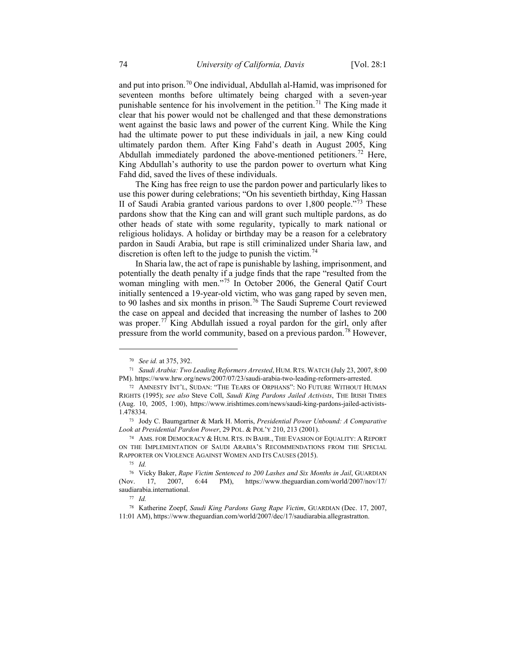and put into prison.[70](#page-9-1) One individual, Abdullah al-Hamid, was imprisoned for seventeen months before ultimately being charged with a seven-year punishable sentence for his involvement in the petition.<sup>[71](#page-9-2)</sup> The King made it clear that his power would not be challenged and that these demonstrations went against the basic laws and power of the current King. While the King had the ultimate power to put these individuals in jail, a new King could ultimately pardon them. After King Fahd's death in August 2005, King Abdullah immediately pardoned the above-mentioned petitioners.<sup>[72](#page-9-3)</sup> Here, King Abdullah's authority to use the pardon power to overturn what King Fahd did, saved the lives of these individuals.

The King has free reign to use the pardon power and particularly likes to use this power during celebrations; "On his seventieth birthday, King Hassan II of Saudi Arabia granted various pardons to over  $1,800$  people."<sup>[73](#page-9-4)</sup> These pardons show that the King can and will grant such multiple pardons, as do other heads of state with some regularity, typically to mark national or religious holidays. A holiday or birthday may be a reason for a celebratory pardon in Saudi Arabia, but rape is still criminalized under Sharia law, and discretion is often left to the judge to punish the victim.<sup>[74](#page-9-5)</sup>

In Sharia law, the act of rape is punishable by lashing, imprisonment, and potentially the death penalty if a judge finds that the rape "resulted from the woman mingling with men."<sup>[75](#page-9-6)</sup> In October 2006, the General Qatif Court initially sentenced a 19-year-old victim, who was gang raped by seven men, to 90 lashes and six months in prison.<sup>[76](#page-9-7)</sup> The Saudi Supreme Court reviewed the case on appeal and decided that increasing the number of lashes to 200 was proper.<sup>[77](#page-10-0)</sup> King Abdullah issued a royal pardon for the girl, only after pressure from the world community, based on a previous pardon.[78](#page-10-1) However,

<sup>70</sup> *See id.* at 375, 392.

<span id="page-9-1"></span><span id="page-9-0"></span><sup>71</sup> *Saudi Arabia: Two Leading Reformers Arrested*, HUM. RTS. WATCH (July 23, 2007, 8:00 PM). https://www.hrw.org/news/2007/07/23/saudi-arabia-two-leading-reformers-arrested.

<span id="page-9-3"></span><span id="page-9-2"></span><sup>72</sup> AMNESTY INT'L, SUDAN: "THE TEARS OF ORPHANS": NO FUTURE WITHOUT HUMAN RIGHTS (1995); *see also* Steve Coll, *Saudi King Pardons Jailed Activists*, THE IRISH TIMES (Aug. 10, 2005, 1:00), https://www.irishtimes.com/news/saudi-king-pardons-jailed-activists-1.478334.

<sup>73</sup> Jody C. Baumgartner & Mark H. Morris, *Presidential Power Unbound: A Comparative Look at Presidential Pardon Power*, 29 POL. & POL'Y 210, 213 (2001).

<span id="page-9-5"></span><span id="page-9-4"></span><sup>74</sup> AMS. FOR DEMOCRACY & HUM. RTS. IN BAHR., THE EVASION OF EQUALITY: A REPORT ON THE IMPLEMENTATION OF SAUDI ARABIA'S RECOMMENDATIONS FROM THE SPECIAL RAPPORTER ON VIOLENCE AGAINST WOMEN AND ITS CAUSES (2015).

<sup>75</sup> *Id.*

<span id="page-9-7"></span><span id="page-9-6"></span><sup>76</sup> Vicky Baker, *Rape Victim Sentenced to 200 Lashes and Six Months in Jail*, GUARDIAN (Nov. 17, 2007, 6:44 PM), https://www.theguardian.com/world/2007/nov/17/ saudiarabia.international.

<sup>77</sup> *Id.*

<sup>78</sup> Katherine Zoepf, *Saudi King Pardons Gang Rape Victim*, GUARDIAN (Dec. 17, 2007, 11:01 AM), https://www.theguardian.com/world/2007/dec/17/saudiarabia.allegrastratton.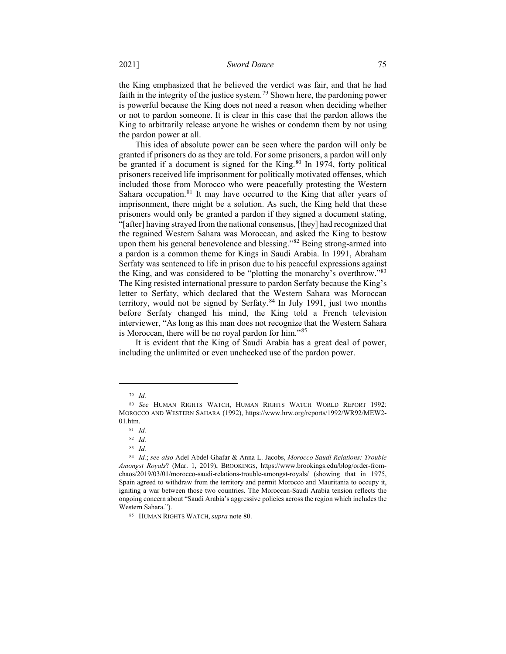the King emphasized that he believed the verdict was fair, and that he had faith in the integrity of the justice system.[79](#page-10-2) Shown here, the pardoning power is powerful because the King does not need a reason when deciding whether or not to pardon someone. It is clear in this case that the pardon allows the King to arbitrarily release anyone he wishes or condemn them by not using the pardon power at all.

This idea of absolute power can be seen where the pardon will only be granted if prisoners do as they are told. For some prisoners, a pardon will only be granted if a document is signed for the King. $80 \text{ In } 1974$  $80 \text{ In } 1974$ , forty political prisoners received life imprisonment for politically motivated offenses, which included those from Morocco who were peacefully protesting the Western Sahara occupation.<sup>[81](#page-10-4)</sup> It may have occurred to the King that after years of imprisonment, there might be a solution. As such, the King held that these prisoners would only be granted a pardon if they signed a document stating, "[after] having strayed from the national consensus, [they] had recognized that the regained Western Sahara was Moroccan, and asked the King to bestow upon them his general benevolence and blessing."[82](#page-10-5) Being strong-armed into a pardon is a common theme for Kings in Saudi Arabia. In 1991, Abraham Serfaty was sentenced to life in prison due to his peaceful expressions against the King, and was considered to be "plotting the monarchy's overthrow."[83](#page-10-6) The King resisted international pressure to pardon Serfaty because the King's letter to Serfaty, which declared that the Western Sahara was Moroccan territory, would not be signed by Serfaty. $84$  In July 1991, just two months before Serfaty changed his mind, the King told a French television interviewer, "As long as this man does not recognize that the Western Sahara is Moroccan, there will be no royal pardon for him."[85](#page-11-0) 

<span id="page-10-0"></span>It is evident that the King of Saudi Arabia has a great deal of power, including the unlimited or even unchecked use of the pardon power.

<sup>79</sup> *Id.*

<span id="page-10-4"></span><span id="page-10-3"></span><span id="page-10-2"></span><span id="page-10-1"></span><sup>80</sup> *See* HUMAN RIGHTS WATCH, HUMAN RIGHTS WATCH WORLD REPORT 1992: MOROCCO AND WESTERN SAHARA (1992), https://www.hrw.org/reports/1992/WR92/MEW2- 01.htm.

<sup>81</sup> *Id.*

<sup>82</sup> *Id.*

<sup>83</sup> *Id.*

<span id="page-10-7"></span><span id="page-10-6"></span><span id="page-10-5"></span><sup>84</sup> *Id.*; *see also* Adel Abdel Ghafar & Anna L. Jacobs, *Morocco-Saudi Relations: Trouble Amongst Royals*? (Mar. 1, 2019), BROOKINGS, https://www.brookings.edu/blog/order-fromchaos/2019/03/01/morocco-saudi-relations-trouble-amongst-royals/ (showing that in 1975, Spain agreed to withdraw from the territory and permit Morocco and Mauritania to occupy it, igniting a war between those two countries. The Moroccan-Saudi Arabia tension reflects the ongoing concern about "Saudi Arabia's aggressive policies across the region which includes the Western Sahara.").

<sup>85</sup> HUMAN RIGHTS WATCH, *supra* note 80.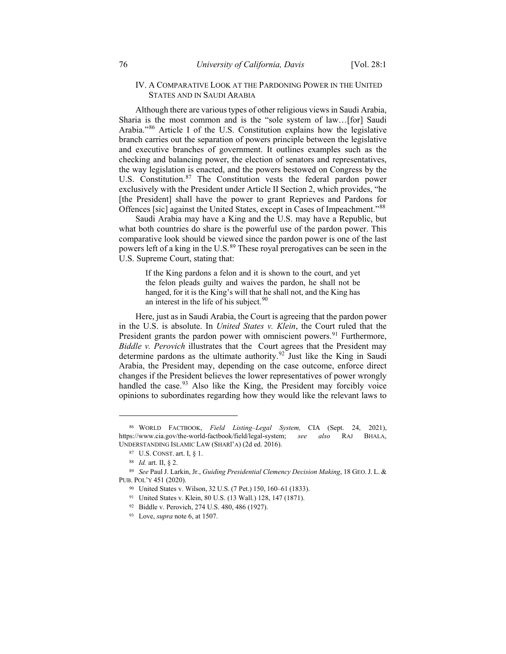### IV. A COMPARATIVE LOOK AT THE PARDONING POWER IN THE UNITED STATES AND IN SAUDI ARABIA

Although there are various types of other religious views in Saudi Arabia, Sharia is the most common and is the "sole system of law…[for] Saudi Arabia."[86](#page-11-1) Article I of the U.S. Constitution explains how the legislative branch carries out the separation of powers principle between the legislative and executive branches of government. It outlines examples such as the checking and balancing power, the election of senators and representatives, the way legislation is enacted, and the powers bestowed on Congress by the U.S. Constitution.<sup>[87](#page-11-2)</sup> The Constitution vests the federal pardon power exclusively with the President under Article II Section 2, which provides, "he [the President] shall have the power to grant Reprieves and Pardons for Offences [sic] against the United States, except in Cases of Impeachment."[88](#page-11-3)

Saudi Arabia may have a King and the U.S. may have a Republic, but what both countries do share is the powerful use of the pardon power. This comparative look should be viewed since the pardon power is one of the last powers left of a king in the U.S.<sup>[89](#page-11-4)</sup> These royal prerogatives can be seen in the U.S. Supreme Court, stating that:

If the King pardons a felon and it is shown to the court, and yet the felon pleads guilty and waives the pardon, he shall not be hanged, for it is the King's will that he shall not, and the King has an interest in the life of his subject. $90$ 

Here, just as in Saudi Arabia, the Court is agreeing that the pardon power in the U.S. is absolute. In *United States v. Klein*, the Court ruled that the President grants the pardon power with omniscient powers.<sup>[91](#page-11-6)</sup> Furthermore, *Biddle v. Perovich* illustrates that the Court agrees that the President may determine pardons as the ultimate authority.<sup>[92](#page-12-0)</sup> Just like the King in Saudi Arabia, the President may, depending on the case outcome, enforce direct changes if the President believes the lower representatives of power wrongly handled the case.<sup>[93](#page-12-1)</sup> Also like the King, the President may forcibly voice opinions to subordinates regarding how they would like the relevant laws to

<span id="page-11-1"></span><span id="page-11-0"></span><sup>86</sup> WORLD FACTBOOK, *Field Listing–Legal System,* CIA (Sept. 24, 2021), https://www.cia.gov/the-world-factbook/field/legal-system; *see also* RAJ BHALA, UNDERSTANDING ISLAMIC LAW (SHARĪ'A) (2d ed. 2016).

<sup>87</sup> U.S. CONST. art. I, § 1.

<sup>88</sup> *Id.* art. II, § 2.

<span id="page-11-6"></span><span id="page-11-5"></span><span id="page-11-4"></span><span id="page-11-3"></span><span id="page-11-2"></span><sup>89</sup> *See* Paul J. Larkin, Jr., *Guiding Presidential Clemency Decision Making*, 18 GEO.J. L. & PUB. POL'Y 451 (2020).

<sup>90</sup> United States v. Wilson, 32 U.S. (7 Pet.) 150, 160–61 (1833).

<sup>91</sup> United States v. Klein, 80 U.S. (13 Wall.) 128, 147 (1871).

<sup>92</sup> Biddle v. Perovich, 274 U.S. 480, 486 (1927).

<sup>93</sup> Love, *supra* note 6, at 1507.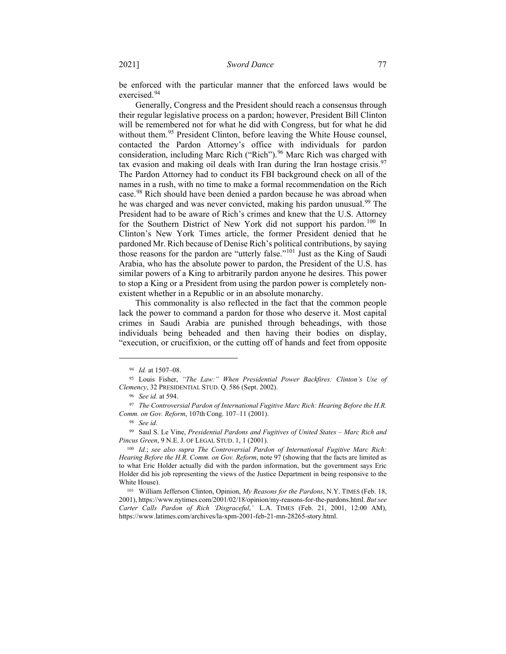be enforced with the particular manner that the enforced laws would be exercised.[94](#page-12-2)

Generally, Congress and the President should reach a consensus through their regular legislative process on a pardon; however, President Bill Clinton will be remembered not for what he did with Congress, but for what he did without them.<sup>[95](#page-12-3)</sup> President Clinton, before leaving the White House counsel, contacted the Pardon Attorney's office with individuals for pardon consideration, including Marc Rich ("Rich").<sup>[96](#page-12-4)</sup> Marc Rich was charged with tax evasion and making oil deals with Iran during the Iran hostage crisis.<sup>[97](#page-12-5)</sup> The Pardon Attorney had to conduct its FBI background check on all of the names in a rush, with no time to make a formal recommendation on the Rich case.[98](#page-12-6) Rich should have been denied a pardon because he was abroad when he was charged and was never convicted, making his pardon unusual.<sup>[99](#page-12-7)</sup> The President had to be aware of Rich's crimes and knew that the U.S. Attorney for the Southern District of New York did not support his pardon.<sup>[100](#page-12-8)</sup> In Clinton's New York Times article, the former President denied that he pardoned Mr. Rich because of Denise Rich's political contributions, by saying those reasons for the pardon are "utterly false."[101](#page-12-9) Just as the King of Saudi Arabia, who has the absolute power to pardon, the President of the U.S. has similar powers of a King to arbitrarily pardon anyone he desires. This power to stop a King or a President from using the pardon power is completely nonexistent whether in a Republic or in an absolute monarchy.

This commonality is also reflected in the fact that the common people lack the power to command a pardon for those who deserve it. Most capital crimes in Saudi Arabia are punished through beheadings, with those individuals being beheaded and then having their bodies on display, "execution, or crucifixion, or the cutting off of hands and feet from opposite

<sup>94</sup> *Id.* at 1507–08.

<span id="page-12-4"></span><span id="page-12-3"></span><span id="page-12-2"></span><span id="page-12-1"></span><span id="page-12-0"></span><sup>95</sup> Louis Fisher, *"The Law:" When Presidential Power Backfires: Clinton's Use of Clemency*, 32 PRESIDENTIAL STUD. Q. 586 (Sept. 2002).

<sup>96</sup> *See id.* at 594.

<span id="page-12-6"></span><span id="page-12-5"></span><sup>97</sup> *The Controversial Pardon of International Fugitive Marc Rich: Hearing Before the H.R. Comm. on Gov. Reform*, 107th Cong. 107–11 (2001).

<sup>98</sup> *See id.*

<span id="page-12-7"></span><sup>99</sup> Saul S. Le Vine, *Presidential Pardons and Fugitives of United States – Marc Rich and Pincus Green*, 9 N.E. J. OF LEGAL STUD. 1, 1 (2001).

<span id="page-12-8"></span><sup>100</sup> *Id.*; *see also supra The Controversial Pardon of International Fugitive Marc Rich: Hearing Before the H.R. Comm. on Gov. Reform*, note 97 (showing that the facts are limited as to what Eric Holder actually did with the pardon information, but the government says Eric Holder did his job representing the views of the Justice Department in being responsive to the White House).

<span id="page-12-9"></span><sup>101</sup> William Jefferson Clinton, Opinion, *My Reasons for the Pardons*, N.Y. TIMES (Feb. 18, 2001), https://www.nytimes.com/2001/02/18/opinion/my-reasons-for-the-pardons.html. *But see Carter Calls Pardon of Rich 'Disgraceful*,*'* L.A. TIMES (Feb. 21, 2001, 12:00 AM), https://www.latimes.com/archives/la-xpm-2001-feb-21-mn-28265-story.html.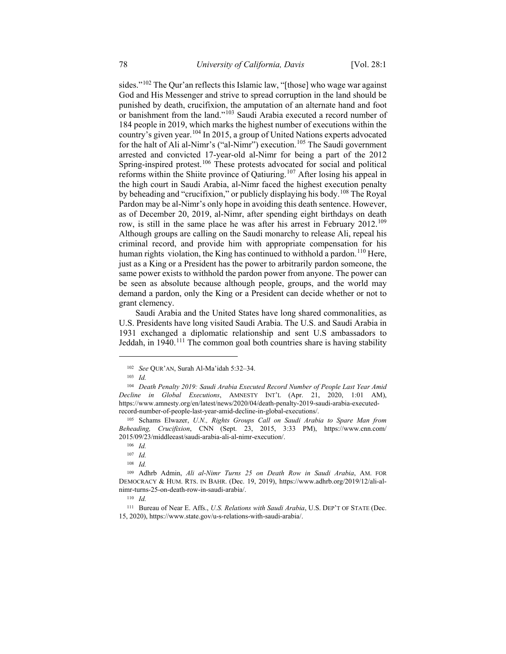sides."[102](#page-13-0) The Qur'an reflects this Islamic law, "[those] who wage war against God and His Messenger and strive to spread corruption in the land should be punished by death, crucifixion, the amputation of an alternate hand and foot or banishment from the land."[103](#page-13-1) Saudi Arabia executed a record number of 184 people in 2019, which marks the highest number of executions within the country's given year.[104](#page-13-2) In 2015, a group of United Nations experts advocated for the halt of Ali al-Nimr's ("al-Nimr") execution.<sup>[105](#page-13-3)</sup> The Saudi government arrested and convicted 17-year-old al-Nimr for being a part of the 2012 Spring-inspired protest.<sup>[106](#page-13-4)</sup> These protests advocated for social and political reforms within the Shiite province of Qatiuring.[107](#page-13-5) After losing his appeal in the high court in Saudi Arabia, al-Nimr faced the highest execution penalty by beheading and "crucifixion," or publicly displaying his body.<sup>[108](#page-13-6)</sup> The Royal Pardon may be al-Nimr's only hope in avoiding this death sentence. However, as of December 20, 2019, al-Nimr, after spending eight birthdays on death row, is still in the same place he was after his arrest in February 2012.[109](#page-13-7) Although groups are calling on the Saudi monarchy to release Ali, repeal his criminal record, and provide him with appropriate compensation for his human rights violation, the King has continued to withhold a pardon.<sup>[110](#page-13-8)</sup> Here, just as a King or a President has the power to arbitrarily pardon someone, the same power exists to withhold the pardon power from anyone. The power can be seen as absolute because although people, groups, and the world may demand a pardon, only the King or a President can decide whether or not to grant clemency.

Saudi Arabia and the United States have long shared commonalities, as U.S. Presidents have long visited Saudi Arabia. The U.S. and Saudi Arabia in 1931 exchanged a diplomatic relationship and sent U.S ambassadors to Jeddah, in  $1940$ <sup>[111](#page-14-0)</sup>. The common goal both countries share is having stability

<sup>102</sup> *See* QUR'AN, Surah Al-Ma'idah 5:32–34.

<sup>103</sup> *Id.*

<span id="page-13-2"></span><span id="page-13-1"></span><span id="page-13-0"></span><sup>104</sup> *Death Penalty 2019: Saudi Arabia Executed Record Number of People Last Year Amid Decline in Global Executions*, AMNESTY INT'L (Apr. 21, 2020, 1:01 AM), https://www.amnesty.org/en/latest/news/2020/04/death-penalty-2019-saudi-arabia-executedrecord-number-of-people-last-year-amid-decline-in-global-executions/.

<span id="page-13-3"></span><sup>105</sup> Schams Elwazer, *U.N., Rights Groups Call on Saudi Arabia to Spare Man from Beheading, Crucifixion*, CNN (Sept. 23, 2015, 3:33 PM), https://www.cnn.com/ 2015/09/23/middleeast/saudi-arabia-ali-al-nimr-execution/.

<sup>106</sup> *Id.*

<sup>107</sup> *Id.*

<sup>108</sup> *Id.*

<span id="page-13-7"></span><span id="page-13-6"></span><span id="page-13-5"></span><span id="page-13-4"></span><sup>109</sup> Adhrb Admin, *Ali al-Nimr Turns 25 on Death Row in Saudi Arabia*, AM. FOR DEMOCRACY & HUM. RTS. IN BAHR. (Dec. 19, 2019), https://www.adhrb.org/2019/12/ali-alnimr-turns-25-on-death-row-in-saudi-arabia/.

<sup>110</sup> *Id.*

<span id="page-13-8"></span><sup>111</sup> Bureau of Near E. Affs., *U.S. Relations with Saudi Arabia*, U.S. DEP'T OF STATE (Dec. 15, 2020), https://www.state.gov/u-s-relations-with-saudi-arabia/.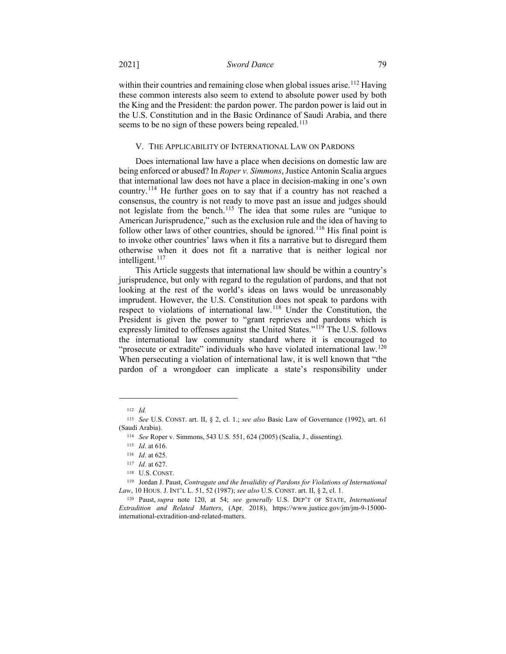within their countries and remaining close when global issues arise.<sup>[112](#page-14-1)</sup> Having these common interests also seem to extend to absolute power used by both the King and the President: the pardon power. The pardon power is laid out in the U.S. Constitution and in the Basic Ordinance of Saudi Arabia, and there seems to be no sign of these powers being repealed.<sup>[113](#page-14-2)</sup>

### V. THE APPLICABILITY OF INTERNATIONAL LAW ON PARDONS

Does international law have a place when decisions on domestic law are being enforced or abused? In *Roper v. Simmons*, Justice Antonin Scalia argues that international law does not have a place in decision-making in one's own country.[114](#page-14-3) He further goes on to say that if a country has not reached a consensus, the country is not ready to move past an issue and judges should not legislate from the bench.<sup>[115](#page-14-4)</sup> The idea that some rules are "unique to American Jurisprudence," such as the exclusion rule and the idea of having to follow other laws of other countries, should be ignored.<sup>[116](#page-14-5)</sup> His final point is to invoke other countries' laws when it fits a narrative but to disregard them otherwise when it does not fit a narrative that is neither logical nor intelligent.<sup>[117](#page-14-6)</sup>

This Article suggests that international law should be within a country's jurisprudence, but only with regard to the regulation of pardons, and that not looking at the rest of the world's ideas on laws would be unreasonably imprudent. However, the U.S. Constitution does not speak to pardons with respect to violations of international law.<sup>[118](#page-14-7)</sup> Under the Constitution, the President is given the power to "grant reprieves and pardons which is expressly limited to offenses against the United States."<sup>[119](#page-15-0)</sup> The U.S. follows the international law community standard where it is encouraged to "prosecute or extradite" individuals who have violated international law.<sup>[120](#page-15-1)</sup> When persecuting a violation of international law, it is well known that "the pardon of a wrongdoer can implicate a state's responsibility under

<sup>112</sup> *Id.*

<span id="page-14-1"></span><span id="page-14-0"></span><sup>113</sup> *See* U.S. CONST. art. II, § 2, cl. 1.; *see also* Basic Law of Governance (1992), art. 61 (Saudi Arabia).

<sup>114</sup> *See* Roper v. Simmons, 543 U.S. 551, 624 (2005) (Scalia, J., dissenting).

<sup>115</sup> *Id*. at 616.

<sup>116</sup> *Id*. at 625.

<sup>117</sup> *Id*. at 627.

<sup>118</sup> U.S. CONST.

<span id="page-14-5"></span><span id="page-14-4"></span><span id="page-14-3"></span><span id="page-14-2"></span><sup>119</sup> Jordan J. Paust, *Contragate and the Invalidity of Pardons for Violations of International Law*, 10 HOUS. J. INT'L L. 51, 52 (1987); *see also* U.S. CONST. art. II, § 2, cl. 1.

<span id="page-14-7"></span><span id="page-14-6"></span><sup>120</sup> Paust, *supra* note 120, at 54; *see generally* U.S. DEP'T OF STATE, *International Extradition and Related Matters*, (Apr. 2018), https://www.justice.gov/jm/jm-9-15000 international-extradition-and-related-matters.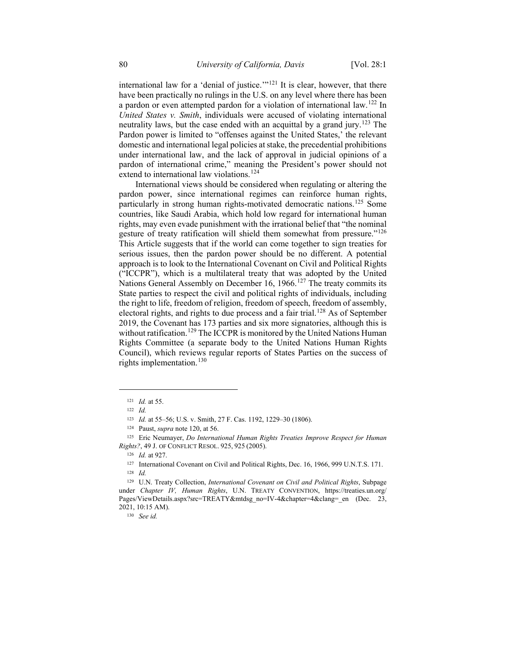international law for a 'denial of justice.'"<sup>[121](#page-15-2)</sup> It is clear, however, that there have been practically no rulings in the U.S. on any level where there has been a pardon or even attempted pardon for a violation of international law.[122](#page-15-3) In *United States v. Smith*, individuals were accused of violating international neutrality laws, but the case ended with an acquittal by a grand jury.<sup>[123](#page-15-4)</sup> The Pardon power is limited to "offenses against the United States,' the relevant domestic and international legal policies at stake, the precedential prohibitions under international law, and the lack of approval in judicial opinions of a pardon of international crime," meaning the President's power should not extend to international law violations.<sup>[124](#page-15-5)</sup>

International views should be considered when regulating or altering the pardon power, since international regimes can reinforce human rights, particularly in strong human rights-motivated democratic nations.<sup>[125](#page-15-6)</sup> Some countries, like Saudi Arabia, which hold low regard for international human rights, may even evade punishment with the irrational belief that "the nominal gesture of treaty ratification will shield them somewhat from pressure."<sup>[126](#page-15-7)</sup> This Article suggests that if the world can come together to sign treaties for serious issues, then the pardon power should be no different. A potential approach is to look to the International Covenant on Civil and Political Rights ("ICCPR"), which is a multilateral treaty that was adopted by the United Nations General Assembly on December 16, 1966.<sup>[127](#page-15-8)</sup> The treaty commits its State parties to respect the civil and political rights of individuals, including the right to life, freedom of religion, freedom of speech, freedom of assembly, electoral rights, and rights to due process and a fair trial.<sup>[128](#page-15-9)</sup> As of September 2019, the Covenant has 173 parties and six more signatories, although this is without ratification.<sup>[129](#page-16-0)</sup> The ICCPR is monitored by the United Nations Human Rights Committee (a separate body to the United Nations Human Rights Council), which reviews regular reports of States Parties on the success of rights implementation.<sup>[130](#page-16-1)</sup>

<span id="page-15-1"></span><span id="page-15-0"></span> $\overline{a}$ 

<sup>130</sup> *See id.*

<sup>121</sup> *Id.* at 55.

<sup>122</sup> *Id.* 

<sup>123</sup> *Id.* at 55–56; U.S. v. Smith, 27 F. Cas. 1192, 1229–30 (1806).

<sup>124</sup> Paust, *supra* note 120, at 56.

<span id="page-15-4"></span><span id="page-15-3"></span><span id="page-15-2"></span><sup>125</sup> Eric Neumayer, *Do International Human Rights Treaties Improve Respect for Human Rights?*, 49 J. OF CONFLICT RESOL. 925, 925 (2005).

<sup>126</sup> *Id.* at 927.

<sup>127</sup> International Covenant on Civil and Political Rights, Dec. 16, 1966, 999 U.N.T.S. 171. <sup>128</sup> *Id.*

<span id="page-15-9"></span><span id="page-15-8"></span><span id="page-15-7"></span><span id="page-15-6"></span><span id="page-15-5"></span><sup>129</sup> U.N. Treaty Collection, *International Covenant on Civil and Political Rights*, Subpage under *Chapter IV, Human Rights*, U.N. TREATY CONVENTION, https://treaties.un.org/ Pages/ViewDetails.aspx?src=TREATY&mtdsg\_no=IV-4&chapter=4&clang=\_en (Dec. 23, 2021, 10:15 AM).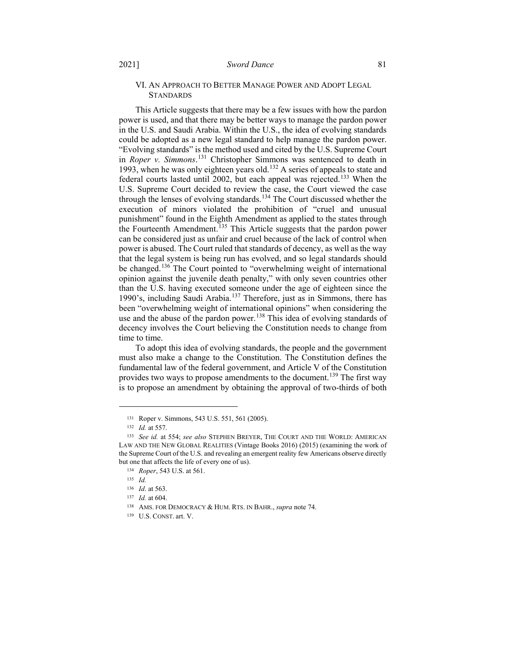# VI. AN APPROACH TO BETTER MANAGE POWER AND ADOPT LEGAL **STANDARDS**

This Article suggests that there may be a few issues with how the pardon power is used, and that there may be better ways to manage the pardon power in the U.S. and Saudi Arabia. Within the U.S., the idea of evolving standards could be adopted as a new legal standard to help manage the pardon power. "Evolving standards" is the method used and cited by the U.S. Supreme Court in *Roper v. Simmons*. [131](#page-16-2) Christopher Simmons was sentenced to death in 1993, when he was only eighteen years old.[132](#page-16-3) A series of appeals to state and federal courts lasted until 2002, but each appeal was rejected.<sup>[133](#page-16-4)</sup> When the U.S. Supreme Court decided to review the case, the Court viewed the case through the lenses of evolving standards.<sup>[134](#page-16-5)</sup> The Court discussed whether the execution of minors violated the prohibition of "cruel and unusual punishment" found in the Eighth Amendment as applied to the states through the Fourteenth Amendment.<sup>[135](#page-16-6)</sup> This Article suggests that the pardon power can be considered just as unfair and cruel because of the lack of control when power is abused. The Court ruled that standards of decency, as well as the way that the legal system is being run has evolved, and so legal standards should be changed.<sup>[136](#page-16-7)</sup> The Court pointed to "overwhelming weight of international opinion against the juvenile death penalty," with only seven countries other than the U.S. having executed someone under the age of eighteen since the 1990's, including Saudi Arabia.[137](#page-16-8) Therefore, just as in Simmons, there has been "overwhelming weight of international opinions" when considering the use and the abuse of the pardon power.<sup>[138](#page-17-0)</sup> This idea of evolving standards of decency involves the Court believing the Constitution needs to change from time to time.

<span id="page-16-0"></span>To adopt this idea of evolving standards, the people and the government must also make a change to the Constitution. The Constitution defines the fundamental law of the federal government, and Article V of the Constitution provides two ways to propose amendments to the document.<sup>[139](#page-17-1)</sup> The first way is to propose an amendment by obtaining the approval of two-thirds of both

<sup>131</sup> Roper v. Simmons, 543 U.S. 551, 561 (2005).

<sup>132</sup> *Id.* at 557.

<span id="page-16-4"></span><span id="page-16-3"></span><span id="page-16-2"></span><span id="page-16-1"></span><sup>133</sup> *See id.* at 554; *see also* STEPHEN BREYER, THE COURT AND THE WORLD: AMERICAN LAW AND THE NEW GLOBAL REALITIES (Vintage Books 2016) (2015) (examining the work of the Supreme Court of the U.S. and revealing an emergent reality few Americans observe directly but one that affects the life of every one of us).

<span id="page-16-6"></span><span id="page-16-5"></span><sup>134</sup> *Roper*, 543 U.S. at 561.

<sup>135</sup> *Id.*

<sup>136</sup> *Id*. at 563.

<span id="page-16-7"></span><sup>137</sup> *Id.* at 604.

<span id="page-16-8"></span><sup>138</sup> AMS. FOR DEMOCRACY & HUM. RTS. IN BAHR., *supra* note 74.

<sup>139</sup> U.S. CONST. art. V.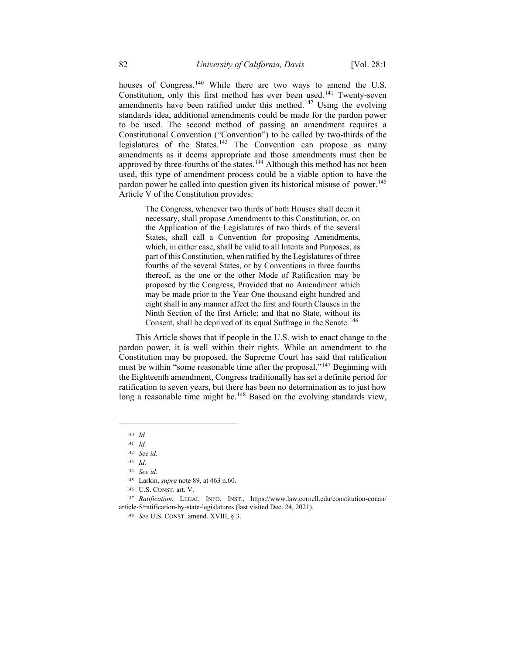houses of Congress.<sup>[140](#page-17-2)</sup> While there are two ways to amend the U.S. Constitution, only this first method has ever been used.<sup>[141](#page-17-3)</sup> Twenty-seven amendments have been ratified under this method.<sup>[142](#page-17-4)</sup> Using the evolving standards idea, additional amendments could be made for the pardon power to be used. The second method of passing an amendment requires a Constitutional Convention ("Convention") to be called by two-thirds of the legislatures of the States.<sup>[143](#page-17-5)</sup> The Convention can propose as many amendments as it deems appropriate and those amendments must then be approved by three-fourths of the states.<sup>[144](#page-17-6)</sup> Although this method has not been used, this type of amendment process could be a viable option to have the pardon power be called into question given its historical misuse of power.<sup>[145](#page-17-7)</sup> Article V of the Constitution provides:

> The Congress, whenever two thirds of both Houses shall deem it necessary, shall propose Amendments to this Constitution, or, on the Application of the Legislatures of two thirds of the several States, shall call a Convention for proposing Amendments, which, in either case, shall be valid to all Intents and Purposes, as part of this Constitution, when ratified by the Legislatures of three fourths of the several States, or by Conventions in three fourths thereof, as the one or the other Mode of Ratification may be proposed by the Congress; Provided that no Amendment which may be made prior to the Year One thousand eight hundred and eight shall in any manner affect the first and fourth Clauses in the Ninth Section of the first Article; and that no State, without its Consent, shall be deprived of its equal Suffrage in the Senate.<sup>[146](#page-18-0)</sup>

This Article shows that if people in the U.S. wish to enact change to the pardon power, it is well within their rights. While an amendment to the Constitution may be proposed, the Supreme Court has said that ratification must be within "some reasonable time after the proposal."<sup>[147](#page-18-1)</sup> Beginning with the Eighteenth amendment, Congress traditionally has set a definite period for ratification to seven years, but there has been no determination as to just how long a reasonable time might be.<sup>[148](#page-18-2)</sup> Based on the evolving standards view,

<sup>140</sup> *Id.*

<span id="page-17-0"></span><sup>141</sup> *Id.*

<span id="page-17-1"></span><sup>142</sup> *See id.*

<sup>143</sup> *Id.*

<sup>144</sup> *See id.*

<sup>145</sup> Larkin, *supra* note 89, at 463 n.60.

<sup>146</sup> U.S. CONST. art. V.

<span id="page-17-7"></span><span id="page-17-6"></span><span id="page-17-5"></span><span id="page-17-4"></span><span id="page-17-3"></span><span id="page-17-2"></span><sup>147</sup> *Ratification*, LEGAL INFO. INST., https://www.law.cornell.edu/constitution-conan/ article-5/ratification-by-state-legislatures (last visited Dec. 24, 2021).

<sup>148</sup> *See* U.S. CONST. amend. XVIII, § 3.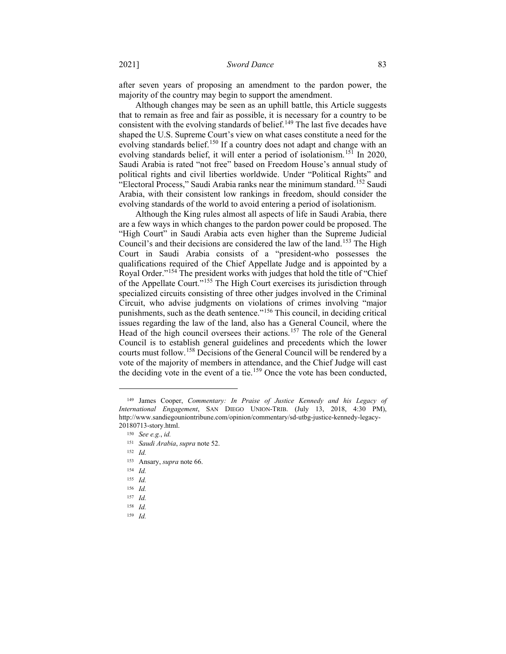after seven years of proposing an amendment to the pardon power, the majority of the country may begin to support the amendment.

Although changes may be seen as an uphill battle, this Article suggests that to remain as free and fair as possible, it is necessary for a country to be consistent with the evolving standards of belief.<sup>[149](#page-18-3)</sup> The last five decades have shaped the U.S. Supreme Court's view on what cases constitute a need for the evolving standards belief.<sup>[150](#page-18-4)</sup> If a country does not adapt and change with an evolving standards belief, it will enter a period of isolationism.<sup>[151](#page-18-5)</sup> In 2020, Saudi Arabia is rated "not free" based on Freedom House's annual study of political rights and civil liberties worldwide. Under "Political Rights" and "Electoral Process," Saudi Arabia ranks near the minimum standard.<sup>[152](#page-18-6)</sup> Saudi Arabia, with their consistent low rankings in freedom, should consider the evolving standards of the world to avoid entering a period of isolationism.

Although the King rules almost all aspects of life in Saudi Arabia, there are a few ways in which changes to the pardon power could be proposed. The "High Court" in Saudi Arabia acts even higher than the Supreme Judicial Council's and their decisions are considered the law of the land.<sup>[153](#page-18-7)</sup> The High Court in Saudi Arabia consists of a "president-who possesses the qualifications required of the Chief Appellate Judge and is appointed by a Royal Order."[154](#page-18-8) The president works with judges that hold the title of "Chief of the Appellate Court."[155](#page-19-0) The High Court exercises its jurisdiction through specialized circuits consisting of three other judges involved in the Criminal Circuit, who advise judgments on violations of crimes involving "major punishments, such as the death sentence."[156](#page-19-1) This council, in deciding critical issues regarding the law of the land, also has a General Council, where the Head of the high council oversees their actions.<sup>[157](#page-19-2)</sup> The role of the General Council is to establish general guidelines and precedents which the lower courts must follow.[158](#page-19-3) Decisions of the General Council will be rendered by a vote of the majority of members in attendance, and the Chief Judge will cast the deciding vote in the event of a tie.<sup>[159](#page-19-4)</sup> Once the vote has been conducted,

- 153 Ansary, *supra* note 66.
- <span id="page-18-4"></span><sup>154</sup> *Id.*
- <span id="page-18-5"></span><sup>155</sup> *Id.*
- <span id="page-18-6"></span><sup>156</sup> *Id.*

- <span id="page-18-8"></span><sup>158</sup> *Id.*
- <sup>159</sup> *Id.*

<span id="page-18-3"></span><span id="page-18-2"></span><span id="page-18-1"></span><span id="page-18-0"></span><sup>149</sup> James Cooper, *Commentary: In Praise of Justice Kennedy and his Legacy of International Engagement*, SAN DIEGO UNION-TRIB. (July 13, 2018, 4:30 PM), http://www.sandiegouniontribune.com/opinion/commentary/sd-utbg-justice-kennedy-legacy-20180713-story.html.

<sup>150</sup> *See e.g.*, *id.*

<sup>151</sup> *Saudi Arabia*, *supra* note 52.

<sup>152</sup> *Id.*

<span id="page-18-7"></span><sup>157</sup> *Id.*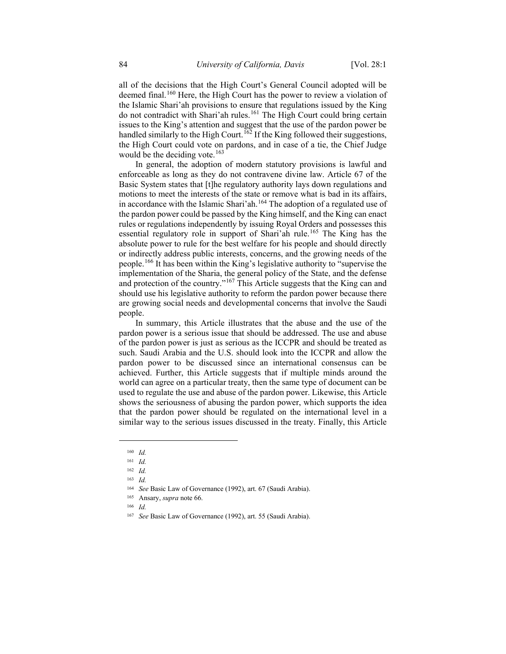all of the decisions that the High Court's General Council adopted will be deemed final.<sup>[160](#page-19-5)</sup> Here, the High Court has the power to review a violation of the Islamic Shari'ah provisions to ensure that regulations issued by the King do not contradict with Shari'ah rules.<sup>[161](#page-19-6)</sup> The High Court could bring certain issues to the King's attention and suggest that the use of the pardon power be handled similarly to the High Court.<sup>[162](#page-19-7)</sup> If the King followed their suggestions, the High Court could vote on pardons, and in case of a tie, the Chief Judge would be the deciding vote.<sup>[163](#page-19-8)</sup>

In general, the adoption of modern statutory provisions is lawful and enforceable as long as they do not contravene divine law. Article 67 of the Basic System states that [t]he regulatory authority lays down regulations and motions to meet the interests of the state or remove what is bad in its affairs, in accordance with the Islamic Shari'ah.<sup>[164](#page-19-9)</sup> The adoption of a regulated use of the pardon power could be passed by the King himself, and the King can enact rules or regulations independently by issuing Royal Orders and possesses this essential regulatory role in support of Shari'ah rule.<sup>[165](#page-19-10)</sup> The King has the absolute power to rule for the best welfare for his people and should directly or indirectly address public interests, concerns, and the growing needs of the people.[166](#page-19-11) It has been within the King's legislative authority to "supervise the implementation of the Sharia, the general policy of the State, and the defense and protection of the country."[167](#page-20-0) This Article suggests that the King can and should use his legislative authority to reform the pardon power because there are growing social needs and developmental concerns that involve the Saudi people.

In summary, this Article illustrates that the abuse and the use of the pardon power is a serious issue that should be addressed. The use and abuse of the pardon power is just as serious as the ICCPR and should be treated as such. Saudi Arabia and the U.S. should look into the ICCPR and allow the pardon power to be discussed since an international consensus can be achieved. Further, this Article suggests that if multiple minds around the world can agree on a particular treaty, then the same type of document can be used to regulate the use and abuse of the pardon power. Likewise, this Article shows the seriousness of abusing the pardon power, which supports the idea that the pardon power should be regulated on the international level in a similar way to the serious issues discussed in the treaty. Finally, this Article

<span id="page-19-8"></span><span id="page-19-7"></span><span id="page-19-6"></span><span id="page-19-5"></span><span id="page-19-4"></span><span id="page-19-3"></span><span id="page-19-2"></span><span id="page-19-1"></span><span id="page-19-0"></span> $\overline{a}$ 

<span id="page-19-11"></span><sup>166</sup> *Id.*

<sup>160</sup> *Id.*

<sup>161</sup> *Id.*

<sup>162</sup> *Id.*

<sup>163</sup> *Id.*

<span id="page-19-10"></span><span id="page-19-9"></span><sup>164</sup> *See* Basic Law of Governance (1992), art. 67 (Saudi Arabia).

<sup>165</sup> Ansary, *supra* note 66.

<sup>167</sup> *See* Basic Law of Governance (1992), art. 55 (Saudi Arabia).